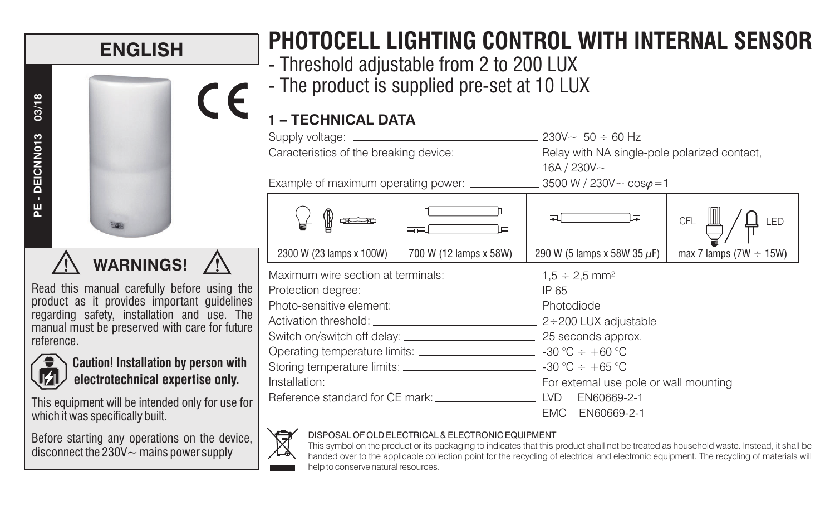

Read this manual carefully before using the product as it provides important guidelines regarding safety, installation and use. The manual must be preserved with care for future reference.



**Caution! Installation by person with electrotechnical expertise only.**

This equipment will be intended only for use for which it was specifically built.

Before starting any operations on the device, disconnect the  $230V -$  mains power supply

# **PHOTOCELL LIGHTING CONTROL WITH INTERNAL SENSOR**

- Threshold adjustable from 2 to 200 LUX
- The product is supplied pre-set at 10 LUX

|                                                                                                           |                                   | 16A / $230V -$                   |                                           |
|-----------------------------------------------------------------------------------------------------------|-----------------------------------|----------------------------------|-------------------------------------------|
| 2300 W (23 lamps x 100W)                                                                                  | ᢇ<br>ਜਦ<br>700 W (12 lamps x 58W) | 290 W (5 lamps x 58W 35 $\mu$ F) | CFL<br>LED<br>max 7 lamps $(7W \div 15W)$ |
| Maximum wire section at terminals: $\frac{1}{2}$ 1.5 ÷ 2.5 mm <sup>2</sup>                                |                                   |                                  |                                           |
|                                                                                                           |                                   |                                  |                                           |
|                                                                                                           |                                   |                                  |                                           |
|                                                                                                           |                                   |                                  |                                           |
|                                                                                                           |                                   |                                  |                                           |
| Operating temperature limits: _____________________________ -30 °C $\div$ +60 °C                          |                                   |                                  |                                           |
| Storing temperature limits: ____________________________ -30 °C $\div$ +65 °C                             |                                   |                                  |                                           |
|                                                                                                           |                                   |                                  |                                           |
| Reference standard for CE mark: LACCONDUCTER LACCONDUCTER LACCONDUCTER LACCONDUCTER LACCONDUCTER REGISTER |                                   | EN60669-2-1                      |                                           |
|                                                                                                           |                                   | EN60669-2-1<br>EMC .             |                                           |

#### DISPOSAL OF OLD ELECTRICAL & ELECTRONIC EQUIPMENT

 This symbol on the product or its packaging to indicates that this product shall not be treated as household waste. Instead, it shall be handed over to the applicable collection point for the recycling of electrical and electronic equipment. The recycling of materials will help to conserve natural resources.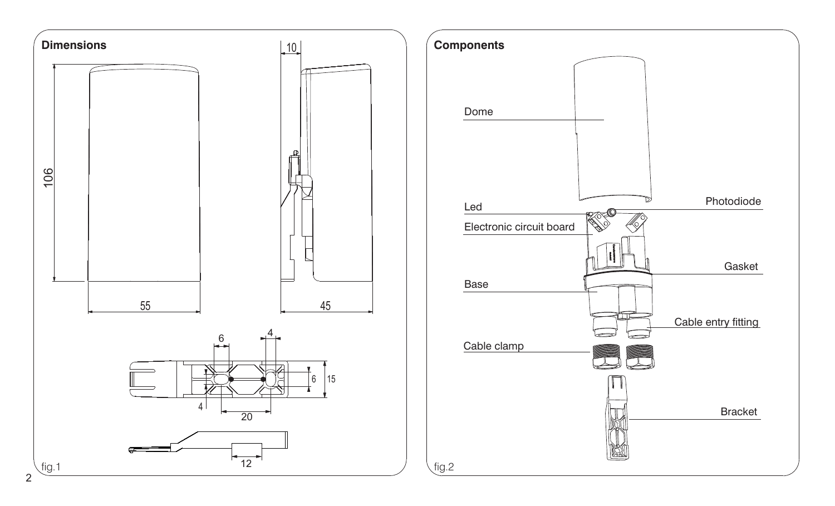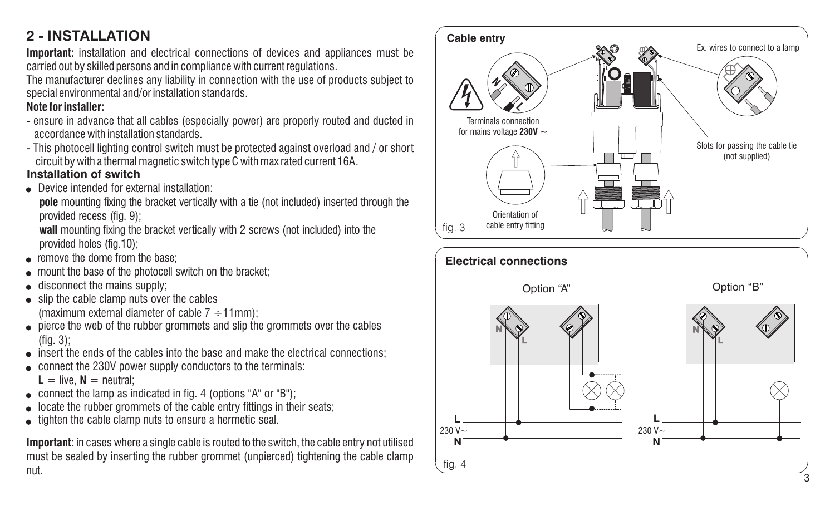#### **2 - INSTALLATION**

**Important:** installation and electrical connections of devices and appliances must be carried out by skilled persons and in compliance with current regulations.

The manufacturer declines any liability in connection with the use of products subject to special environmental and/or installation standards.

#### **Note for installer:**

- ensure in advance that all cables (especially power) are properly routed and ducted in accordance with installation standards.
- This photocell lighting control switch must be protected against overload and / or short circuit by with <sup>a</sup> thermal magnetic switch type C with max rated current 16A. **Installation of switch**
- Device intended for external installation:

**pole** mounting fixing the bracket vertically with a tie (not included) inserted through the provided recess (fig. 9);

**wall** mounting fixing the bracket vertically with 2 screws (not included) into the provided holes (fig.10);

- **e** remove the dome from the base:
- $\bullet$  mount the base of the photocell switch on the bracket:
- disconnect the mains supply;
- slip the cable clamp nuts over the cables (maximum external diameter of cable  $7 \div 11$ mm);
- pierce the web of the rubber grommets and slip the grommets over the cables (fig. 3);
- **.** insert the ends of the cables into the base and make the electrical connections;
- connect the 230V power supply conductors to the terminals:

 $L =$  live,  $N =$  neutral;

- connect the lamp as indicated in fig. 4 (options "A" or "B");
- locate the rubber grommets of the cable entry fittings in their seats;
- tighten the cable clamp nuts to ensure a hermetic seal.

**Important:** in cases where <sup>a</sup> single cable is routed to the switch, the cable entry not utilised must be sealed by inserting the rubber grommet (unpierced) tightening the cable clamp nut.



3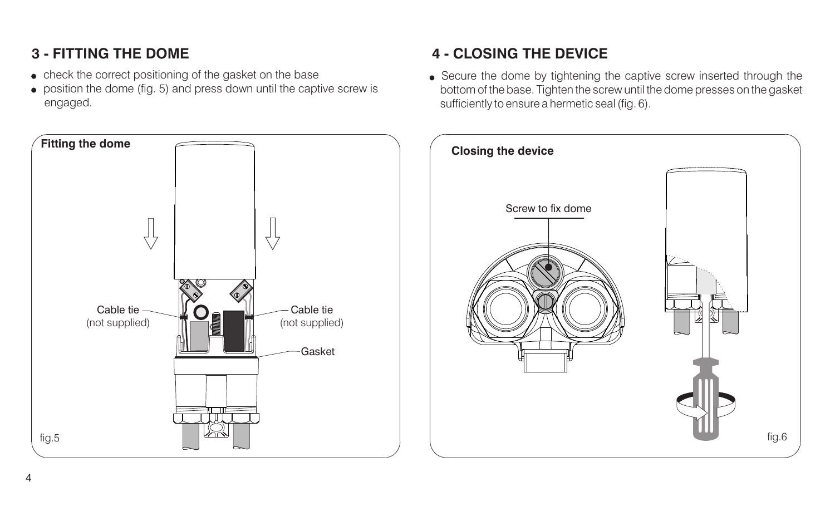## **3 - FITTING THE DOME**

- check the correct positioning of the gasket on the base
- position the dome (fig. 5) and press down until the captive screw is engaged.



## **4 - CLOSING THE DEVICE**

Secure the dome by tightening the captive screw inserted through the bottom of the base. Tighten the screw until the dome presses on the gasket sufficiently to ensure <sup>a</sup> hermetic seal (fig. 6).

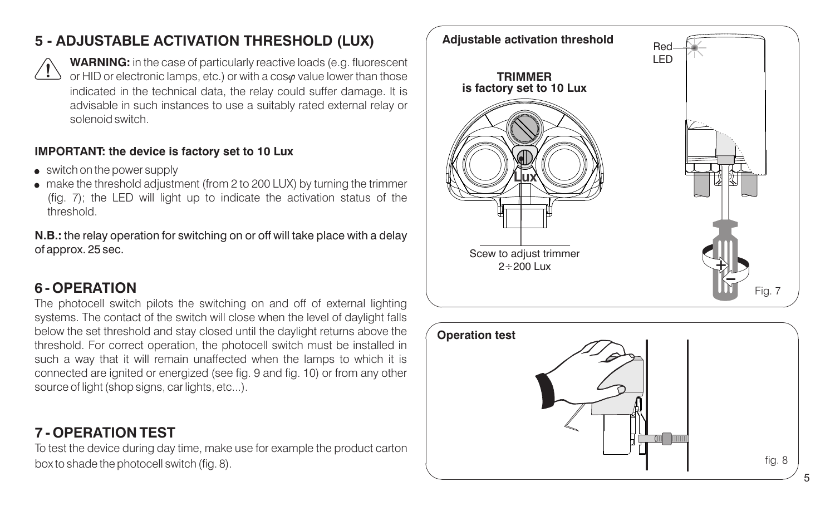## **5 - ADJUSTABLE ACTIVATION THRESHOLD (LUX)**



**WARNING:** in the case of particularly reactive loads (e.g. fluorescent or HID or electronic lamps, etc.) or with a cos value lower than those indicated in the technical data, the relay could suffer damage. It is advisable in such instances to use <sup>a</sup> suitably rated external relay or solenoid switch.

#### **IMPORTANT: the device is factory set to 10 Lux**

- switch on the power supply
- make the threshold adjustment (from 2 to 200 LUX) by turning the trimmer (fig. 7); the LED will light up to indicate the activation status of the threshold.

**N.B.:** the relay operation for switching on or off will take place with <sup>a</sup> delay of approx. 25 sec.

## **6 - OPERATION**

The photocell switch pilots the switching on and off of external lighting systems. The contact of the switch will close when the level of daylight falls below the set threshold and stay closed until the daylight returns above the threshold. For correct operation, the photocell switch must be installed in such a way that it will remain unaffected when the lamps to which it is connected are ignited or energized (see fig. 9 and fig. 10) or from any other source of light (shop signs, car lights, etc...).

## **7 - OPERATION TEST**

To test the device during day time, make use for example the product carton box to shade the photocell switch (fig. 8). Fig. 8